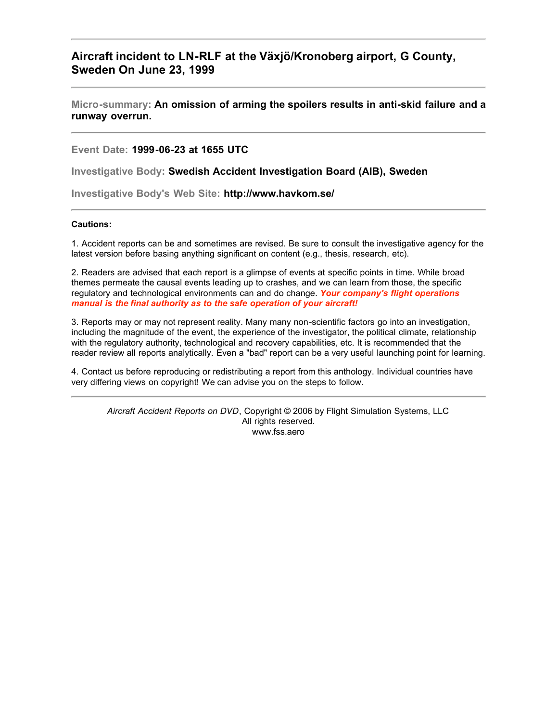# **Aircraft incident to LN-RLF at the Växjö/Kronoberg airport, G County, Sweden On June 23, 1999**

**Micro-summary: An omission of arming the spoilers results in anti-skid failure and a runway overrun.**

**Event Date: 1999-06-23 at 1655 UTC**

**Investigative Body: Swedish Accident Investigation Board (AIB), Sweden**

**Investigative Body's Web Site: http://www.havkom.se/**

#### **Cautions:**

1. Accident reports can be and sometimes are revised. Be sure to consult the investigative agency for the latest version before basing anything significant on content (e.g., thesis, research, etc).

2. Readers are advised that each report is a glimpse of events at specific points in time. While broad themes permeate the causal events leading up to crashes, and we can learn from those, the specific regulatory and technological environments can and do change. *Your company's flight operations manual is the final authority as to the safe operation of your aircraft!*

3. Reports may or may not represent reality. Many many non-scientific factors go into an investigation, including the magnitude of the event, the experience of the investigator, the political climate, relationship with the regulatory authority, technological and recovery capabilities, etc. It is recommended that the reader review all reports analytically. Even a "bad" report can be a very useful launching point for learning.

4. Contact us before reproducing or redistributing a report from this anthology. Individual countries have very differing views on copyright! We can advise you on the steps to follow.

*Aircraft Accident Reports on DVD*, Copyright © 2006 by Flight Simulation Systems, LLC All rights reserved. www.fss.aero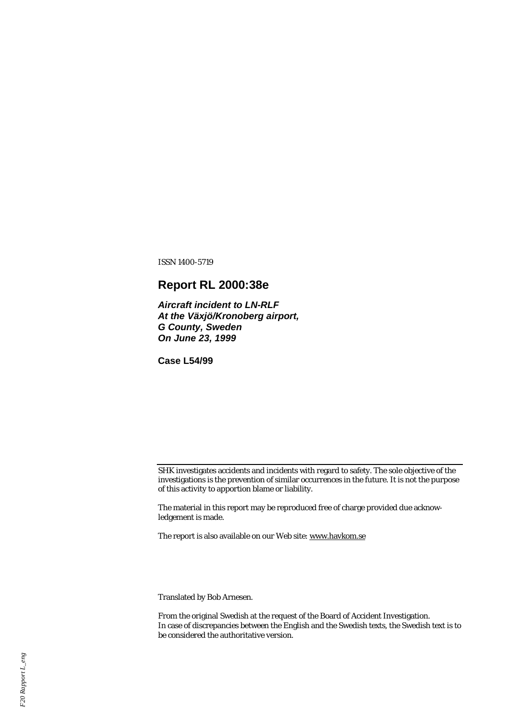ISSN 1400-5719

# **Report RL 2000:38e**

*Aircraft incident to LN-RLF At the Växjö/Kronoberg airport, G County, Sweden On June 23, 1999*

**Case L54/99**

SHK investigates accidents and incidents with regard to safety. The sole objective of the investigations is the prevention of similar occurrences in the future. It is not the purpose of this activity to apportion blame or liability.

The material in this report may be reproduced free of charge provided due acknowledgement is made.

The report is also available on our Web site: www.havkom.se

Translated by Bob Arnesen.

From the original Swedish at the request of the Board of Accident Investigation. In case of discrepancies between the English and the Swedish texts, the Swedish text is to be considered the authoritative version.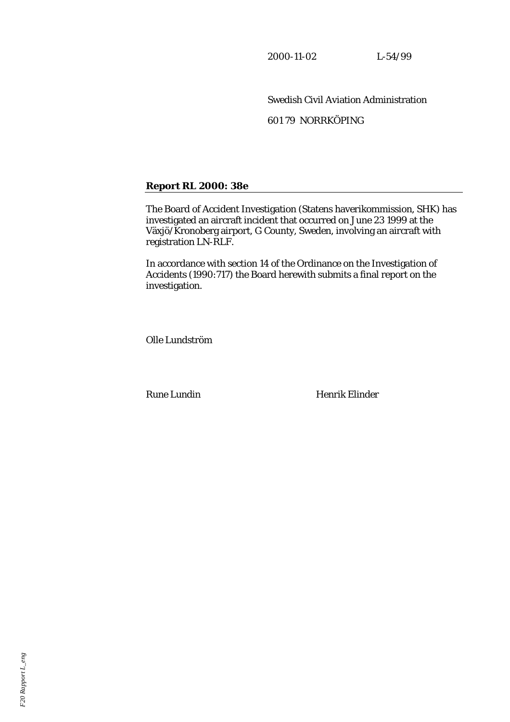2000-11-02 L-54/99

Swedish Civil Aviation Administration 601 79 NORRKÖPING

# **Report RL 2000: 38e**

The Board of Accident Investigation (Statens haverikommission, SHK) has investigated an aircraft incident that occurred on June 23 1999 at the Växjö/Kronoberg airport, G County, Sweden, involving an aircraft with registration LN-RLF.

In accordance with section 14 of the Ordinance on the Investigation of Accidents (1990:717) the Board herewith submits a final report on the investigation.

Olle Lundström

Rune Lundin Henrik Elinder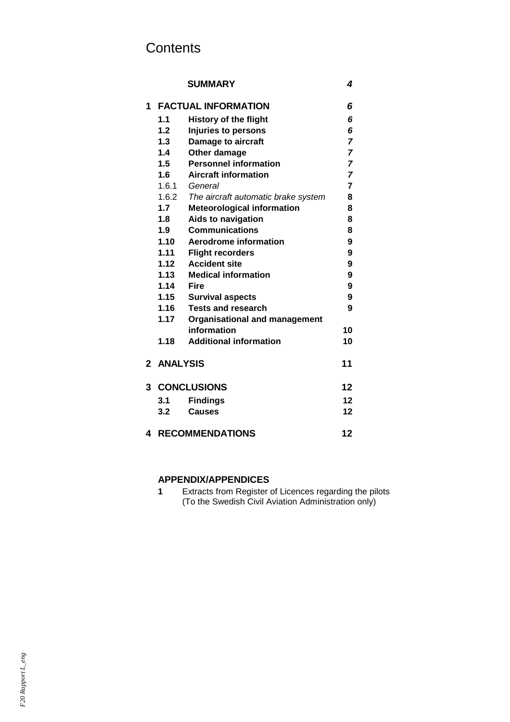# **Contents**

### **SUMMARY** *4*

| 1            | <b>FACTUAL INFORMATION</b>          |                                      |                     |  |
|--------------|-------------------------------------|--------------------------------------|---------------------|--|
|              | 1.1<br><b>History of the flight</b> |                                      |                     |  |
|              | 1.2                                 | Injuries to persons                  | 6                   |  |
|              | 1.3                                 | Damage to aircraft                   |                     |  |
|              | 1.4                                 | Other damage                         | 7<br>$\overline{7}$ |  |
|              | 1.5                                 | <b>Personnel information</b>         | 7                   |  |
|              | 1.6                                 | <b>Aircraft information</b>          |                     |  |
|              | 1.6.1                               | General                              | $\overline{7}$      |  |
|              | 1.6.2                               | The aircraft automatic brake system  | 8                   |  |
|              | 1.7                                 | <b>Meteorological information</b>    | 8                   |  |
|              | 1.8                                 | <b>Aids to navigation</b>            | 8                   |  |
|              | 1.9                                 | <b>Communications</b>                | 8                   |  |
|              | 1.10                                | Aerodrome information                | 9                   |  |
|              | 1.11                                | <b>Flight recorders</b>              | 9                   |  |
|              | 1.12                                | <b>Accident site</b>                 | 9                   |  |
|              | 1.13                                | <b>Medical information</b>           | 9                   |  |
|              | 1.14                                | <b>Fire</b>                          | 9                   |  |
|              | 1.15                                | <b>Survival aspects</b>              | 9                   |  |
|              | 1.16                                | <b>Tests and research</b>            | 9                   |  |
|              | 1.17                                | <b>Organisational and management</b> |                     |  |
|              |                                     | information                          | 10                  |  |
|              | 1.18                                | <b>Additional information</b>        | 10                  |  |
| $\mathbf{2}$ | <b>ANALYSIS</b>                     |                                      | 11                  |  |
| 3            | <b>CONCLUSIONS</b>                  |                                      |                     |  |
|              | 3.1                                 | <b>Findings</b>                      | 12                  |  |
|              | 3.2                                 | <b>Causes</b>                        | 12                  |  |
|              |                                     |                                      |                     |  |
| 4            | <b>RECOMMENDATIONS</b><br>12        |                                      |                     |  |

# **APPENDIX/APPENDICES**

**1** Extracts from Register of Licences regarding the pilots (To the Swedish Civil Aviation Administration only)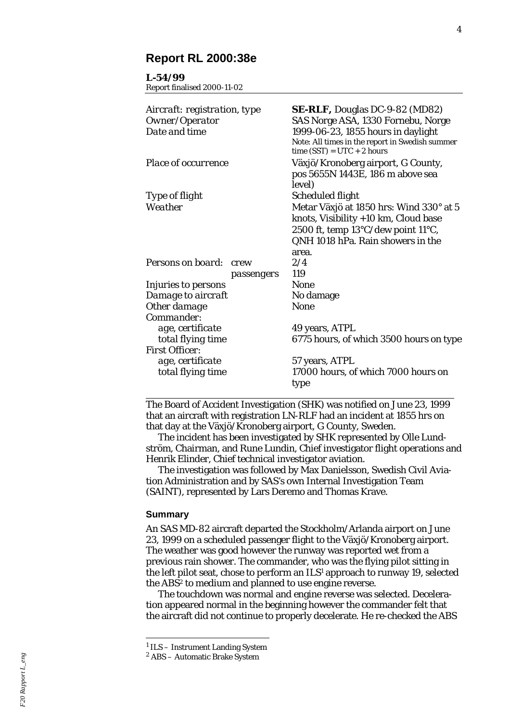## **Report RL 2000:38e**

#### **L-54/99**

Report finalised 2000-11-02

| <b>SE-RLF,</b> Douglas DC-9-82 (MD82)<br>Aircraft: registration, type<br>SAS Norge ASA, 1330 Fornebu, Norge                               |
|-------------------------------------------------------------------------------------------------------------------------------------------|
| 1999-06-23, 1855 hours in daylight<br>Note: All times in the report in Swedish summer<br>time $(SST) = UTC + 2 hours$                     |
| Växjö/Kronoberg airport, G County,<br>pos 5655N 1443E, 186 m above sea<br>level)                                                          |
| Scheduled flight                                                                                                                          |
| Metar Växjö at 1850 hrs: Wind 330° at 5<br>knots, Visibility +10 km, Cloud base<br>2500 ft, temp $13^{\circ}$ C/dew point $11^{\circ}$ C, |
| QNH 1018 hPa. Rain showers in the                                                                                                         |
| area.                                                                                                                                     |
| 2/4<br>crew                                                                                                                               |
| 119<br>passengers                                                                                                                         |
| None                                                                                                                                      |
| No damage                                                                                                                                 |
| <b>None</b>                                                                                                                               |
|                                                                                                                                           |
| 49 years, ATPL                                                                                                                            |
| 6775 hours, of which 3500 hours on type                                                                                                   |
|                                                                                                                                           |
| 57 years, ATPL                                                                                                                            |
| 17000 hours, of which 7000 hours on<br>type                                                                                               |
|                                                                                                                                           |

The Board of Accident Investigation (SHK) was notified on June 23, 1999 that an aircraft with registration LN-RLF had an incident at 1855 hrs on that day at the Växjö/Kronoberg airport, G County, Sweden.

The incident has been investigated by SHK represented by Olle Lun d ström, Chairman, and Rune Lundin, Chief investigator flight operations and Henrik Elinder, Chief technical investigator aviation.

The investigation was followed by Max Danielsson, Swedish Civil Avi ation Administration and by SAS's own Internal Investigation Team (SAINT), represented by Lars Deremo and Thomas Krave.

#### **Summary**

 $\overline{a}$ 

An SAS MD-82 aircraft departed the Stockholm/Arlanda airport on June 23, 1999 on a scheduled passenger flight to the Växjö/Kronoberg airport. The weather was good however the runway was reported wet from a previous rain shower. The commander, who was the flying pilot sitting in the left pilot seat, chose to perform an ILS 1 approach to runway 19, selected the ABS 2 to medium and planned to use engine reverse.

The touchdown was normal and engine reverse was selected. Deceler ation appeared normal in the beginning however the commander felt that the aircraft did not continue to properly decelerate. He re-checked the ABS

<sup>&</sup>lt;sup>1</sup> ILS - Instrument Landing System

<sup>2</sup> ABS – Automatic Brake System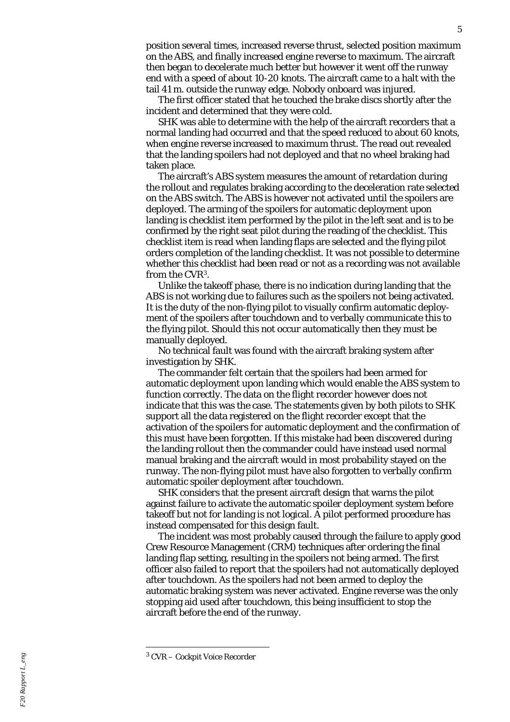position several times, increased reverse thrust, selected position maximum on the ABS, and finally increased engine reverse to maximum. The aircraft then began to decelerate much better but however it went off the runway end with a speed of about 10-20 knots. The aircraft came to a halt with the tail 41 m. outside the runway edge. Nobody onboard was injured.

The first officer stated that he touched the brake discs shortly after the incident and determined that they were cold.

SHK was able to determine with the help of the aircraft recorders that a normal landing had occurred and that the speed reduced to about 60 knots, when engine reverse increased to maximum thrust. The read out revealed that the landing spoilers had not deployed and that no wheel braking had taken place.

The aircraft 's ABS system measures the amount of retardation during the rollout and regulates braking according to the deceleration rate selected on the ABS switch. The ABS is however not activated until the spoilers are deployed. The arming of the spoilers for automatic deployment upon landing is checklist item performed by the pilot in the left seat and is to be confirmed by the right seat pilot during the reading of the checklist. This checklist item is read when landing flaps are selected and the flying pilot orders completion of the landing checklist. It was not possible to determine whether this checklist had been read or not as a recording was not available from the CVR 3 .

Unlike the takeoff phase, there is no indication during landing that the ABS is not working due to failures such as the spoilers not being activated. It is the duty of the non-flying pilot to visually confirm automatic deployment of the spoilers after touchdown and to verbally communicate this to the flying pilot. Should this not occur automatically then they must be manually deployed.

No technical fault was found with the aircraft braking system after investigation by SHK.

The commander felt certain that the spoilers had been armed for automatic deployment upon landing which would enable the ABS system to function correctly. The data on the flight recorder however does not indicate that this was the case. The statements given by both pilots to SHK support all the data registered on the flight recorder except that the activation of the spoilers for automatic deployment and the confirmation of this must have been forgotten. If this mistake had been discovered during the landing rollout then the commander could have instead used normal manual braking and the aircraft would in most probability stayed on the runway. The non-flying pilot must have also forgotten to verbally confirm automatic spoiler deployment after touchdown.

SHK considers that the present aircraft design that warns the pilot against failure to activate the automatic spoiler deployment system before takeoff but not for landing is not logical. A pilot performed procedure has instead compensated for this design fault.

The incident was most probably caused through the failure to apply good Crew Resource Management (CRM) techniques after ordering the final landing flap setting, resulting in the spoilers not being armed. The first officer also failed to report that the spoilers had not automatically deployed after touchdown. As the spoilers had not been armed to deploy the automatic braking system was never activated. Engine reverse was the only stopping aid used after touchdown, this being insufficient to stop the aircraft before the end of the runway.

l

<sup>3</sup> CVR – Cockpit Voice Recorder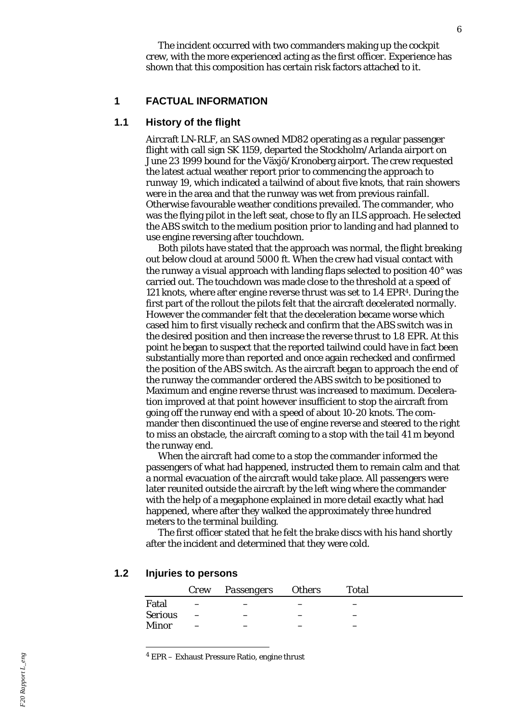The incident occurred with two commanders making up the cockpit crew, with the more experienced acting as the first officer. Experience has shown that this composition has certain risk factors attached to it.

#### **1 FACTUAL INFORMATION**

#### **1.1 History of the flight**

Aircraft LN-RLF, an SAS owned MD82 operating as a regular passenger flight with call sign SK 1159, departed the Stockholm/Arlanda airport on June 23 1999 bound for the Växjö/Kronoberg airport. The crew requested the latest actual weather report prior to commencing the approach to runway 19, which indicated a tailwind of about five knots, that rain showers were in the area and that the runway was wet from previous rainfall. Otherwise favourable weather conditions prevailed. The commander, who was the flying pilot in the left seat, chose to fly an ILS approach. He selected the ABS switch to the medium position prior to landing and had planned to use engine reversing after touchdown.

Both pilots have stated that the approach was normal, the flight breaking out below cloud at around 5000 ft. When the crew had visual contact with the runway a visual approach with landing flaps selected to position  $40^{\circ}$  was carried out. The touchdown was made close to the threshold at a speed of 121 knots, where after engine reverse thrust was set to 1.4 EPR<sup>4</sup>. During the first part of the rollout the pilots felt that the aircraft decelerated normally. However the commander felt that the deceleration became worse which cased him to first visually recheck and confirm that the ABS switch was in the desired position and then increase the reverse thrust to 1.8 EPR. At this point he began to suspect that the reported tailwind could have in fact been substantially more than reported and once again rechecked and confirmed the position of the ABS switch. As the aircraft began to approach the end of the runway the commander ordered the ABS switch to be positioned to Maximum and engine reverse thrust was increased to maximum. Deceleration improved at that point however insufficient to stop the aircraft from going off the runway end with a speed of about 10-20 knots. The commander then discontinued the use of engine reverse and steered to the right to miss an obstacle, the aircraft coming to a stop with the tail 41 m beyond the runway end.

When the aircraft had come to a stop the commander informed the passengers of what had happened, instructed them to remain calm and that a normal evacuation of the aircraft would take place. All passengers were later reunited outside the aircraft by the left wing where the commander with the help of a megaphone explained in more detail exactly what had happened, where after they walked the approximately three hundred meters to the terminal building.

The first officer stated that he felt the brake discs with his hand shortly after the incident and determined that they were cold.

# **1.2 Injuries to persons**

l

|                | Crew Passengers Others | <b>Total</b> |  |
|----------------|------------------------|--------------|--|
| Fatal          |                        |              |  |
| <b>Serious</b> |                        |              |  |
| Minor          |                        |              |  |

4 EPR – Exhaust Pressure Ratio, engine thrust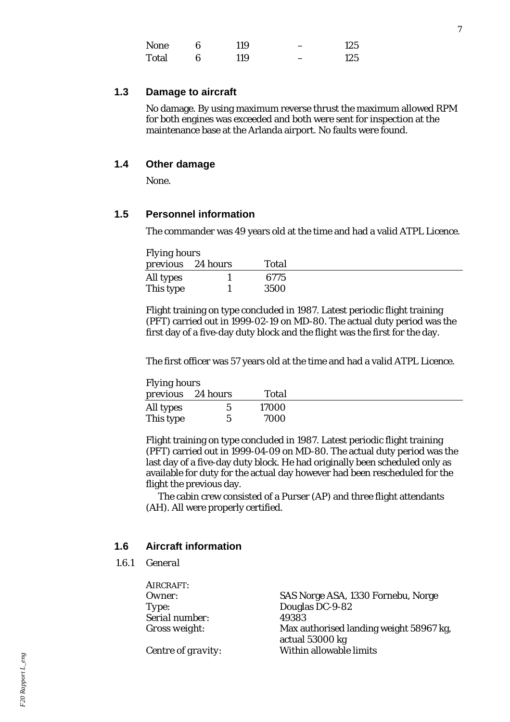| <b>None</b> |   | 119 | 125 |
|-------------|---|-----|-----|
| Total       | 6 | 119 | 125 |

## **1.3 Damage to aircraft**

No damage. By using maximum reverse thrust the maximum allowed RPM for both engines was exceeded and both were sent for inspection at the maintenance base at the Arlanda airport. No faults were found.

## **1.4 Other damage**

None.

## **1.5 Personnel information**

The commander was 49 years old at the time and had a valid ATPL Licence.

| <b>Flying hours</b> |                   |       |  |
|---------------------|-------------------|-------|--|
|                     | previous 24 hours | Total |  |
| All types           |                   | 6775  |  |
| This type           |                   | 3500  |  |

Flight training on type concluded in 1987. Latest periodic flight training (PFT) carried out in 1999-02-19 on MD-80. The actual duty period was the first day of a five-day duty block and the flight was the first for the day.

The first officer was 57 years old at the time and had a valid ATPL Licence.

| <b>Flying hours</b> |                   |       |  |
|---------------------|-------------------|-------|--|
|                     | previous 24 hours | Total |  |
| All types           | h                 | 17000 |  |
| This type           |                   | 7000  |  |

Flight training on type concluded in 1987. Latest periodic flight training (PFT) carried out in 1999-04-09 on MD-80. The actual duty period was the last day of a five-day duty block. He had originally been scheduled only as available for duty for the actual day however had been rescheduled for the flight the previous day.

The cabin crew consisted of a Purser (AP) and three flight attendants (AH). All were properly certified.

## **1.6 Aircraft information**

*1.6.1 General*

| AIRCRAFT:          |                                                            |
|--------------------|------------------------------------------------------------|
| Owner:             | SAS Norge ASA, 1330 Fornebu, Norge                         |
| Type:              | Douglas DC-9-82                                            |
| Serial number:     | 49383                                                      |
| Gross weight:      | Max authorised landing weight 58967 kg,<br>actual 53000 kg |
| Centre of gravity: | Within allowable limits                                    |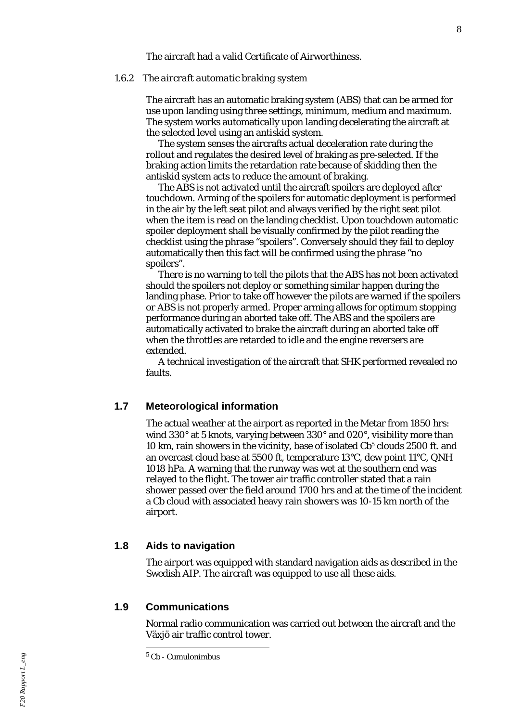The aircraft had a valid Certificate of Airworthiness.

#### *1.6.2 The aircraft automatic braking system*

The aircraft has an automatic braking system (ABS) that can be armed for use upon landing using three settings, minimum, medium and maximum. The system works automatically upon landing decelerating the aircraft at the selected level using an antiskid system.

The system senses the aircrafts actual deceleration rate during the rollout and regulates the desired level of braking as pre-selected. If the braking action limits the retardation rate because of skidding then the antiskid system acts to reduce the amount of braking.

The ABS is not activated until the aircraft spoilers are deployed after touchdown. Arming of the spoilers for automatic deployment is performed in the air by the left seat pilot and always verified by the right seat pilot when the item is read on the landing checklist. Upon touchdown automatic spoiler deployment shall be visually confirmed by the pilot reading the checklist using the phrase "spoilers". Conversely should they fail to deploy automatically then this fact will be confirmed using the phrase "no spoilers".

There is no warning to tell the pilots that the ABS has not been activated should the spoilers not deploy or something similar happen during the landing phase. Prior to take off however the pilots are warned if the spoilers or ABS is not properly armed. Proper arming allows for optimum stopping performance during an aborted take off. The ABS and the spoilers are automatically activated to brake the aircraft during an aborted take off when the throttles are retarded to idle and the engine reversers are extended.

A technical investigation of the aircraft that SHK performed revealed no faults.

#### **1.7 Meteorological information**

The actual weather at the airport as reported in the Metar from 1850 hrs: wind 330° at 5 knots, varying between 330° and 020°, visibility more than 10 km, rain showers in the vicinity, base of isolated Cb<sup>5</sup> clouds 2500 ft. and an overcast cloud base at 5500 ft, temperature 13°C, dew point 11°C, QNH 1018 hPa. A warning that the runway was wet at the southern end was relayed to the flight. The tower air traffic controller stated that a rain shower passed over the field around 1700 hrs and at the time of the incident a Cb cloud with associated heavy rain showers was 10-15 km north of the airport.

## **1.8 Aids to navigation**

The airport was equipped with standard navigation aids as described in the Swedish AIP. The aircraft was equipped to use all these aids.

## **1.9 Communications**

l

Normal radio communication was carried out between the aircraft and the Växjö air traffic control tower.

<sup>5</sup> Cb - Cumulonimbus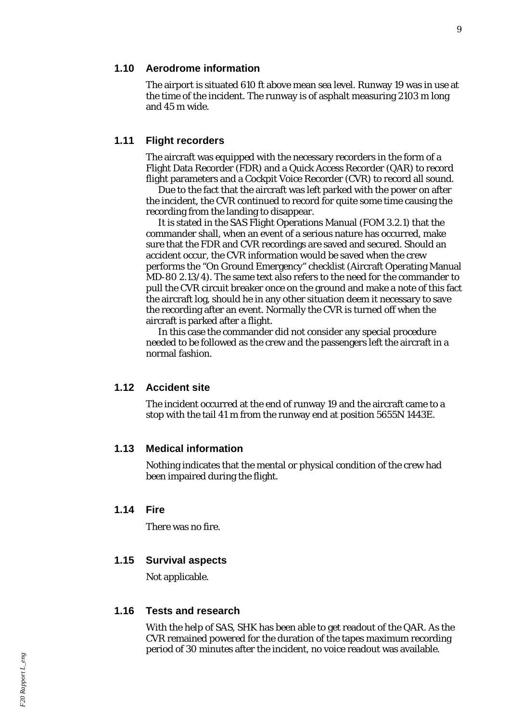### **1.10 Aerodrome information**

The airport is situated 610 ft above mean sea level. Runway 19 was in use at the time of the incident. The runway is of asphalt measuring 2103 m long and 45 m wide.

#### **1.11 Flight recorders**

The aircraft was equipped with the necessary recorders in the form of a Flight Data Recorder (FDR) and a Quick Access Recorder (QAR) to record flight parameters and a Cockpit Voice Recorder (CVR) to record all sound.

Due to the fact that the aircraft was left parked with the power on after the incident, the CVR continued to record for quite some time causing the recording from the landing to disappear.

It is stated in the SAS Flight Operations Manual (FOM 3.2.1) that the commander shall, when an event of a serious nature has occurred, make sure that the FDR and CVR recordings are saved and secured. Should an accident occur, the CVR information would be saved when the crew performs the "On Ground Emergency" checklist (Aircraft Operating Manual MD-80 2.13/4). The same text also refers to the need for the commander to pull the CVR circuit breaker once on the ground and make a note of this fact the aircraft log, should he in any other situation deem it necessary to save the recording after an event. Normally the CVR is turned off when the aircraft is parked after a flight.

In this case the commander did not consider any special procedure needed to be followed as the crew and the passengers left the aircraft in a normal fashion.

#### **1.12 Accident site**

The incident occurred at the end of runway 19 and the aircraft came to a stop with the tail 41 m from the runway end at position 5655N 1443E.

## **1.13 Medical information**

Nothing indicates that the mental or physical condition of the crew had been impaired during the flight.

#### **1.14 Fire**

There was no fire.

## **1.15 Survival aspects**

Not applicable.

#### **1.16 Tests and research**

With the help of SAS, SHK has been able to get readout of the QAR. As the CVR remained powered for the duration of the tapes maximum recording period of 30 minutes after the incident, no voice readout was available.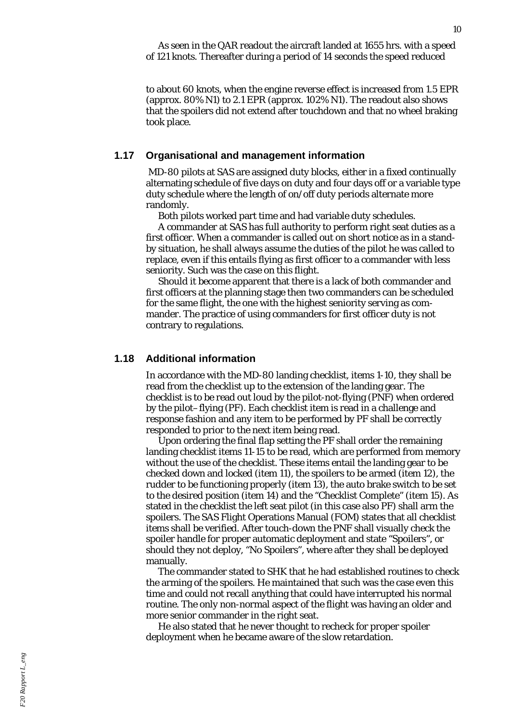to about 60 knots, when the engine reverse effect is increased from 1.5 EPR (approx. 80% N1) to 2.1 EPR (approx. 102% N1). The readout also shows that the spoilers did not extend after touchdown and that no wheel braking took place.

#### **1.17 Organisational and management information**

 MD-80 pilots at SAS are assigned duty blocks, either in a fixed continually alternating schedule of five days on duty and four days off or a variable type duty schedule where the length of on/off duty periods alternate more randomly.

Both pilots worked part time and had variable duty schedules.

A commander at SAS has full authority to perform right seat duties as a first officer. When a commander is called out on short notice as in a standby situation, he shall always assume the duties of the pilot he was called to replace, even if this entails flying as first officer to a commander with less seniority. Such was the case on this flight.

Should it become apparent that there is a lack of both commander and first officers at the planning stage then two commanders can be scheduled for the same flight, the one with the highest seniority serving as commander. The practice of using commanders for first officer duty is not contrary to regulations.

#### **1.18 Additional information**

In accordance with the MD-80 landing checklist, items 1-10, they shall be read from the checklist up to the extension of the landing gear. The checklist is to be read out loud by the pilot-not-flying (PNF) when ordered by the pilot–flying (PF). Each checklist item is read in a challenge and response fashion and any item to be performed by PF shall be correctly responded to prior to the next item being read.

Upon ordering the final flap setting the PF shall order the remaining landing checklist items 11-15 to be read, which are performed from memory without the use of the checklist. These items entail the landing gear to be checked down and locked (item 11), the spoilers to be armed (item 12), the rudder to be functioning properly (item 13), the auto brake switch to be set to the desired position (item 14) and the "Checklist Complete" (item 15). As stated in the checklist the left seat pilot (in this case also PF) shall arm the spoilers. The SAS Flight Operations Manual (FOM) states that all checklist items shall be verified. After touch-down the PNF shall visually check the spoiler handle for proper automatic deployment and state "Spoilers", or should they not deploy, "No Spoilers", where after they shall be deployed manually.

The commander stated to SHK that he had established routines to check the arming of the spoilers. He maintained that such was the case even this time and could not recall anything that could have interrupted his normal routine. The only non-normal aspect of the flight was having an older and more senior commander in the right seat.

He also stated that he never thought to recheck for proper spoiler deployment when he became aware of the slow retardation.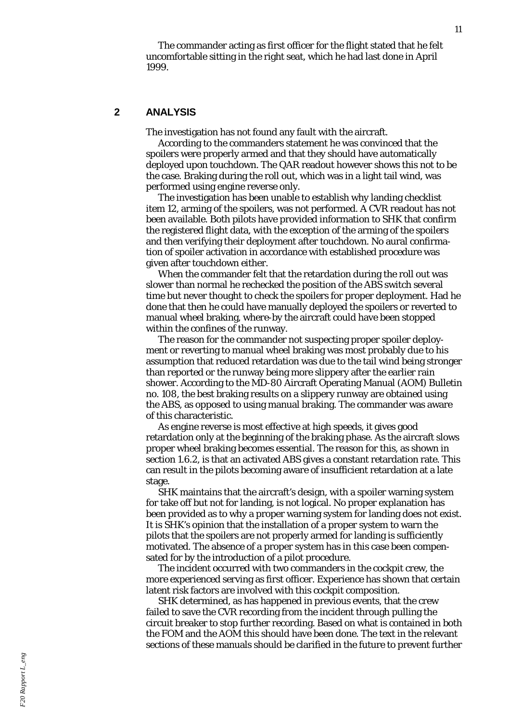The commander acting as first officer for the flight stated that he felt uncomfortable sitting in the right seat, which he had last done in April 1999.

### **2 ANALYSIS**

The investigation has not found any fault with the aircraft.

According to the commanders statement he was convinced that the spoilers were properly armed and that they should have automatically deployed upon touchdown. The QAR readout however shows this not to be the case. Braking during the roll out, which was in a light tail wind, was performed using engine reverse only.

The investigation has been unable to establish why landing checklist item 12, arming of the spoilers, was not performed. A CVR readout has not been available. Both pilots have provided information to SHK that confirm the registered flight data, with the exception of the arming of the spoilers and then verifying their deployment after touchdown. No aural confirmation of spoiler activation in accordance with established procedure was given after touchdown either.

When the commander felt that the retardation during the roll out was slower than normal he rechecked the position of the ABS switch several time but never thought to check the spoilers for proper deployment. Had he done that then he could have manually deployed the spoilers or reverted to manual wheel braking, where-by the aircraft could have been stopped within the confines of the runway.

The reason for the commander not suspecting proper spoiler deployment or reverting to manual wheel braking was most probably due to his assumption that reduced retardation was due to the tail wind being stronger than reported or the runway being more slippery after the earlier rain shower. According to the MD-80 Aircraft Operating Manual (AOM) Bulletin no. 108, the best braking results on a slippery runway are obtained using the ABS, as opposed to using manual braking. The commander was aware of this characteristic.

As engine reverse is most effective at high speeds, it gives good retardation only at the beginning of the braking phase. As the aircraft slows proper wheel braking becomes essential. The reason for this, as shown in section 1.6.2, is that an activated ABS gives a constant retardation rate. This can result in the pilots becoming aware of insufficient retardation at a late stage.

SHK maintains that the aircraft 's design, with a spoiler warning system for take off but not for landing, is not logical. No proper explanation has been provided as to why a proper warning system for landing does not exist. It is SHK 's opinion that the installation of a proper system to warn the pilots that the spoilers are not properly armed for landing is sufficiently motivated. The absence of a proper system has in this case been compen sated for by the introduction of a pilot procedure.

The incident occurred with two commanders in the cockpit crew, the more experienced serving as first officer. Experience has shown that certain latent risk factors are involved with this cockpit composition.

SHK determined, as has happened in previous events, that the crew failed to save the CVR recording from the incident through pulling the circuit breaker to stop further recording. Based on what is contained in both the FOM and the AOM this should have been done. The text in the relevant sections of these manuals should be clarified in the future to prevent further